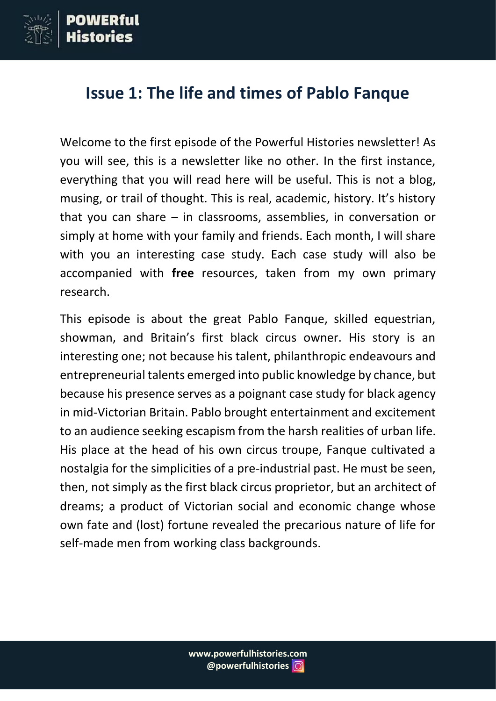

## **Issue 1: The life and times of Pablo Fanque**

Welcome to the first episode of the Powerful Histories newsletter! As you will see, this is a newsletter like no other. In the first instance, everything that you will read here will be useful. This is not a blog, musing, or trail of thought. This is real, academic, history. It's history that you can share – in classrooms, assemblies, in conversation or simply at home with your family and friends. Each month, I will share with you an interesting case study. Each case study will also be accompanied with **free** resources, taken from my own primary research.

This episode is about the great Pablo Fanque, skilled equestrian, showman, and Britain's first black circus owner. His story is an interesting one; not because his talent, philanthropic endeavours and entrepreneurial talents emerged into public knowledge by chance, but because his presence serves as a poignant case study for black agency in mid-Victorian Britain. Pablo brought entertainment and excitement to an audience seeking escapism from the harsh realities of urban life. His place at the head of his own circus troupe, Fanque cultivated a nostalgia for the simplicities of a pre-industrial past. He must be seen, then, not simply as the first black circus proprietor, but an architect of dreams; a product of Victorian social and economic change whose own fate and (lost) fortune revealed the precarious nature of life for self-made men from working class backgrounds.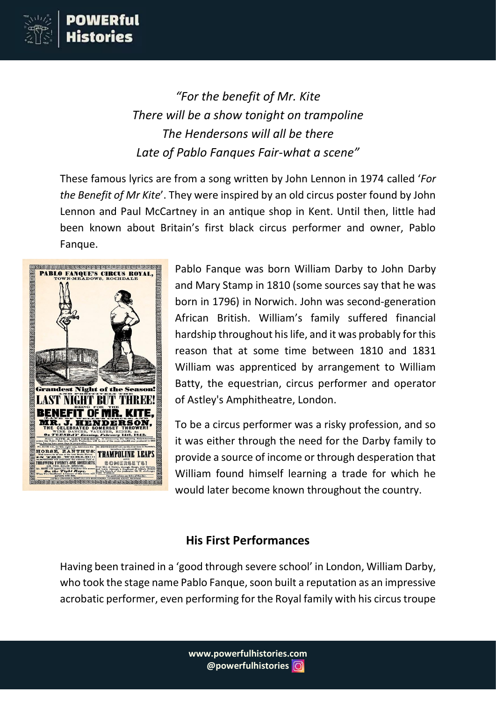

*"For the benefit of Mr. Kite There will be a show tonight on trampoline The Hendersons will all be there Late of Pablo Fanques Fair-what a scene"*

These famous lyrics are from a song written by John Lennon in 1974 called '*For the Benefit of Mr Kite*'. They were inspired by an old circus poster found by John Lennon and Paul McCartney in an antique shop in Kent. Until then, little had been known about Britain's first black circus performer and owner, Pablo Fanque.



Pablo Fanque was born William Darby to John Darby and Mary Stamp in 1810 (some sources say that he was born in 1796) in Norwich. John was second-generation African British. William's family suffered financial hardship throughout his life, and it was probably for this reason that at some time between 1810 and 1831 William was apprenticed by arrangement to William Batty, the equestrian, circus performer and operator of Astley's Amphitheatre, London.

To be a circus performer was a risky profession, and so it was either through the need for the Darby family to provide a source of income or through desperation that William found himself learning a trade for which he would later become known throughout the country.

## **His First Performances**

Having been trained in a 'good through severe school' in London, William Darby, who took the stage name Pablo Fanque, soon built a reputation as an impressive acrobatic performer, even performing for the Royal family with his circus troupe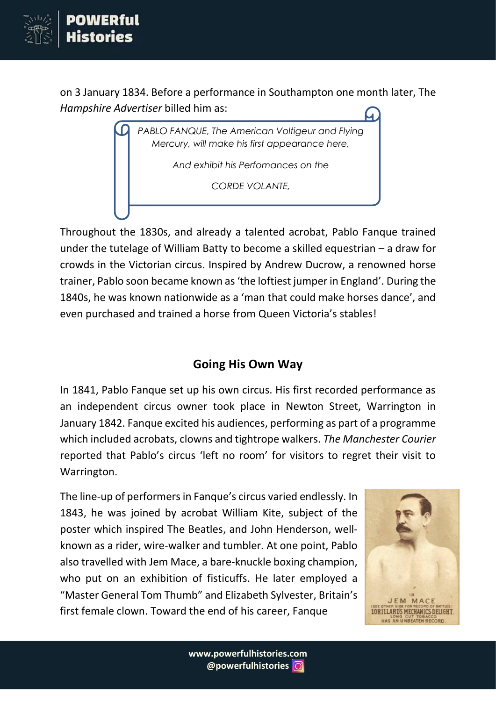

on 3 January 1834. Before a performance in Southampton one month later, The *Hampshire Advertiser* billed him as:

> *PABLO FANQUE, The American Voltigeur and Flying Mercury, will make his first appearance here,*

> > *And exhibit his Perfomances on the*

*CORDE VOLANTE,*

*Upon which he is not surpassed by any Performer in* 

Throughout the 1830s, and already a talented acrobat, Pablo Fanque trained under the tutelage of William Batty to become a skilled equestrian – a draw for crowds in the Victorian circus. Inspired by Andrew Ducrow, a renowned horse trainer, Pablo soon became known as 'the loftiest jumper in England'. During the 1840s, he was known nationwide as a 'man that could make horses dance', and even purchased and trained a horse from Queen Victoria's stables!

## **Going His Own Way**

In 1841, Pablo Fanque set up his own circus. His first recorded performance as an independent circus owner took place in Newton Street, Warrington in January 1842. Fanque excited his audiences, performing as part of a programme which included acrobats, clowns and tightrope walkers. *The Manchester Courier*  reported that Pablo's circus 'left no room' for visitors to regret their visit to Warrington.

The line-up of performers in Fanque's circus varied endlessly. In 1843, he was joined by acrobat William Kite, subject of the poster which inspired The Beatles, and John Henderson, wellknown as a rider, wire-walker and tumbler. At one point, Pablo also travelled with Jem Mace, a bare-knuckle boxing champion, who put on an exhibition of fisticuffs. He later employed a "Master General Tom Thumb" and Elizabeth Sylvester, Britain's first female clown. Toward the end of his career, Fanque

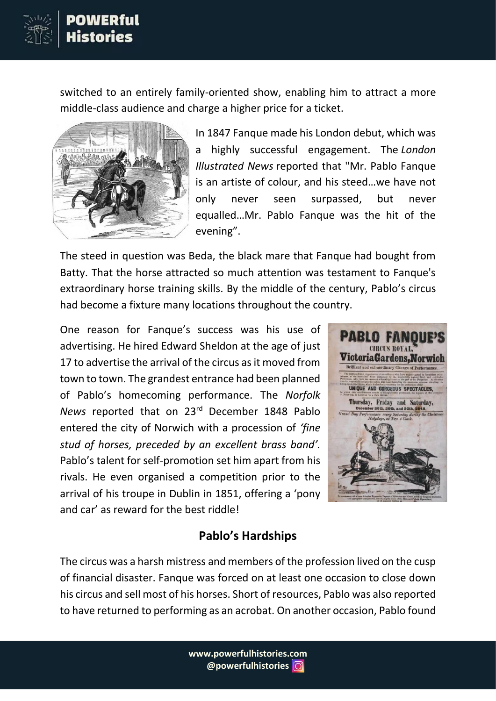

switched to an entirely family-oriented show, enabling him to attract a more middle-class audience and charge a higher price for a ticket.



In 1847 Fanque made his London debut, which was a highly successful engagement. The *London Illustrated News* reported that "Mr. Pablo Fanque is an artiste of colour, and his steed…we have not only never seen surpassed, but never equalled…Mr. Pablo Fanque was the hit of the evening".

The steed in question was Beda, the black mare that Fanque had bought from Batty. That the horse attracted so much attention was testament to Fanque's extraordinary horse training skills. By the middle of the century, Pablo's circus had become a fixture many locations throughout the country.

One reason for Fanque's success was his use of advertising. He hired Edward Sheldon at the age of just 17 to advertise the arrival of the circus as it moved from town to town. The grandest entrance had been planned of Pablo's homecoming performance. The *Norfolk News* reported that on 23rd December 1848 Pablo entered the city of Norwich with a procession of *'fine stud of horses, preceded by an excellent brass band'.* Pablo's talent for self-promotion set him apart from his rivals. He even organised a competition prior to the arrival of his troupe in Dublin in 1851, offering a 'pony and car' as reward for the best riddle!



## **Pablo's Hardships**

The circus was a harsh mistress and members of the profession lived on the cusp of financial disaster. Fanque was forced on at least one occasion to close down his circus and sell most of his horses. Short of resources, Pablo was also reported to have returned to performing as an acrobat. On another occasion, Pablo found